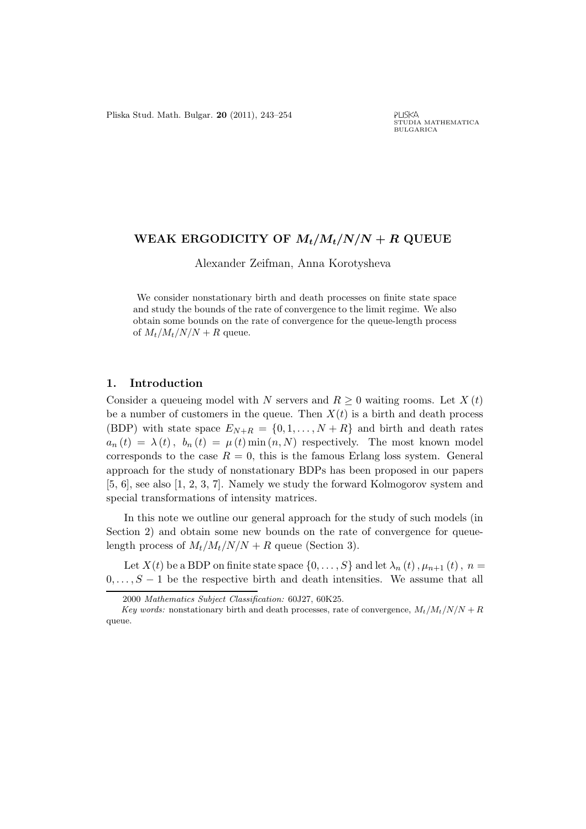## WEAK ERGODICITY OF  $M_t/M_t/N/N + R$  QUEUE

Alexander Zeifman, Anna Korotysheva

We consider nonstationary birth and death processes on finite state space and study the bounds of the rate of convergence to the limit regime. We also obtain some bounds on the rate of convergence for the queue-length process of  $M_t/M_t/N/N + R$  queue.

## 1. Introduction

Consider a queueing model with N servers and  $R \geq 0$  waiting rooms. Let  $X(t)$ be a number of customers in the queue. Then  $X(t)$  is a birth and death process (BDP) with state space  $E_{N+R} = \{0, 1, \ldots, N+R\}$  and birth and death rates  $a_n(t) = \lambda(t)$ ,  $b_n(t) = \mu(t) \min(n, N)$  respectively. The most known model corresponds to the case  $R = 0$ , this is the famous Erlang loss system. General approach for the study of nonstationary BDPs has been proposed in our papers [5, 6], see also [1, 2, 3, 7]. Namely we study the forward Kolmogorov system and special transformations of intensity matrices.

In this note we outline our general approach for the study of such models (in Section 2) and obtain some new bounds on the rate of convergence for queuelength process of  $M_t/M_t/N/N + R$  queue (Section 3).

Let  $X(t)$  be a BDP on finite state space  $\{0, \ldots, S\}$  and let  $\lambda_n(t)$ ,  $\mu_{n+1}(t)$ ,  $n =$  $0, \ldots, S-1$  be the respective birth and death intensities. We assume that all

<sup>2000</sup> Mathematics Subject Classification: 60J27, 60K25.

Key words: nonstationary birth and death processes, rate of convergence,  $M_t/M_t/N/N + R$ queue.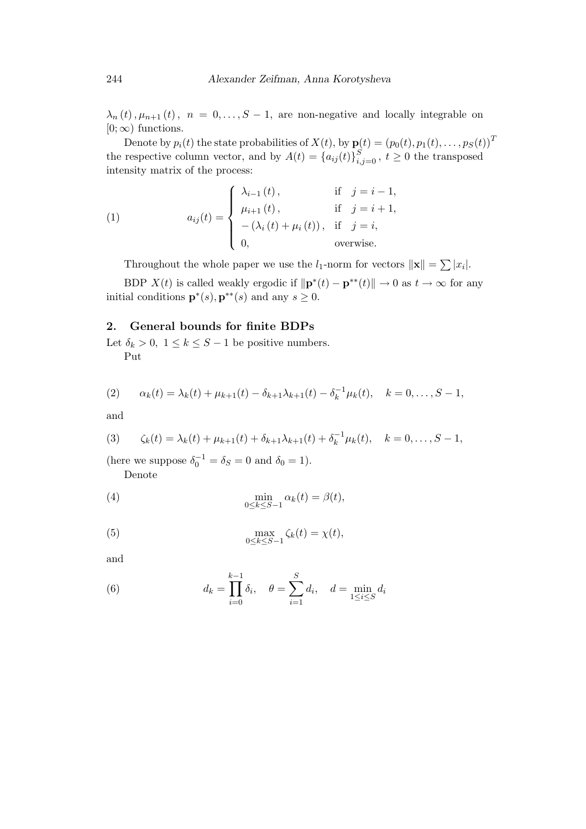$\lambda_n(t), \mu_{n+1}(t), n = 0, \ldots, S-1$ , are non-negative and locally integrable on  $[0; \infty)$  functions.

Denote by  $p_i(t)$  the state probabilities of  $X(t),$  by  $\mathbf{p}(t) = \left(p_0(t), p_1(t), \ldots, p_S(t)\right)^T$ the respective column vector, and by  $A(t) = \{a_{ij}(t)\}_{i,j=0}^S$ ,  $t \geq 0$  the transposed intensity matrix of the process:

(1) 
$$
a_{ij}(t) = \begin{cases} \lambda_{i-1}(t), & \text{if } j = i-1, \\ \mu_{i+1}(t), & \text{if } j = i+1, \\ -(\lambda_i(t) + \mu_i(t)), & \text{if } j = i, \\ 0, & \text{overwise.} \end{cases}
$$

Throughout the whole paper we use the  $l_1$ -norm for vectors  $\|\mathbf{x}\| = \sum |x_i|$ .

BDP  $X(t)$  is called weakly ergodic if  $\|\mathbf{p}^*(t) - \mathbf{p}^{**}(t)\| \to 0$  as  $t \to \infty$  for any initial conditions  $\mathbf{p}^*(s), \mathbf{p}^{**}(s)$  and any  $s \geq 0$ .

## 2. General bounds for finite BDPs

Let  $\delta_k > 0$ ,  $1 \leq k \leq S-1$  be positive numbers. Put

$$
\mathbf{u}^{\mathbf{v}}
$$

(2) 
$$
\alpha_k(t) = \lambda_k(t) + \mu_{k+1}(t) - \delta_{k+1}\lambda_{k+1}(t) - \delta_k^{-1}\mu_k(t), \quad k = 0, \ldots, S-1,
$$

and

(3) 
$$
\zeta_k(t) = \lambda_k(t) + \mu_{k+1}(t) + \delta_{k+1}\lambda_{k+1}(t) + \delta_k^{-1}\mu_k(t), \quad k = 0, \ldots, S-1,
$$

(here we suppose  $\delta_0^{-1} = \delta_S = 0$  and  $\delta_0 = 1$ ).

Denote

(4) 
$$
\min_{0 \le k \le S-1} \alpha_k(t) = \beta(t),
$$

(5) 
$$
\max_{0 \le k \le S-1} \zeta_k(t) = \chi(t),
$$

and

(6) 
$$
d_k = \prod_{i=0}^{k-1} \delta_i, \quad \theta = \sum_{i=1}^{S} d_i, \quad d = \min_{1 \le i \le S} d_i
$$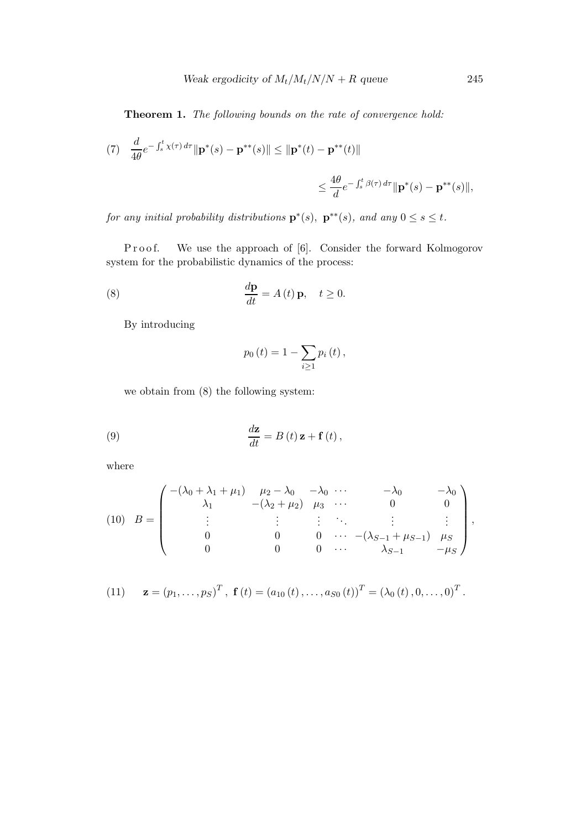Theorem 1. The following bounds on the rate of convergence hold:

(7) 
$$
\frac{d}{4\theta}e^{-\int_s^t \chi(\tau) d\tau} \|\mathbf{p}^*(s) - \mathbf{p}^{**}(s)\| \le \|\mathbf{p}^*(t) - \mathbf{p}^{**}(t)\|
$$
  

$$
\le \frac{4\theta}{d}e^{-\int_s^t \beta(\tau) d\tau} \|\mathbf{p}^*(s) - \mathbf{p}^{**}(s)\|,
$$

for any initial probability distributions  $\mathbf{p}^*(s)$ ,  $\mathbf{p}^{**}(s)$ , and any  $0 \leq s \leq t$ .

Proof. We use the approach of [6]. Consider the forward Kolmogorov system for the probabilistic dynamics of the process:

(8) 
$$
\frac{d\mathbf{p}}{dt} = A(t)\mathbf{p}, \quad t \ge 0.
$$

By introducing

$$
p_0(t) = 1 - \sum_{i \ge 1} p_i(t),
$$

we obtain from (8) the following system:

(9) 
$$
\frac{d\mathbf{z}}{dt} = B(t)\,\mathbf{z} + \mathbf{f}(t)\,,
$$

where

(10) 
$$
B = \begin{pmatrix} -(\lambda_0 + \lambda_1 + \mu_1) & \mu_2 - \lambda_0 & -\lambda_0 & \cdots & -\lambda_0 & -\lambda_0 \\ \lambda_1 & -(\lambda_2 + \mu_2) & \mu_3 & \cdots & 0 & 0 \\ \vdots & \vdots & \vdots & \ddots & \vdots & \vdots \\ 0 & 0 & 0 & \cdots & -(\lambda_{S-1} + \mu_{S-1}) & \mu_S \\ 0 & 0 & 0 & \cdots & \lambda_{S-1} & -\mu_S \end{pmatrix},
$$

(11) 
$$
\mathbf{z} = (p_1, ..., p_S)^T
$$
,  $\mathbf{f}(t) = (a_{10}(t), ..., a_{S0}(t))^T = (\lambda_0(t), 0, ..., 0)^T$ .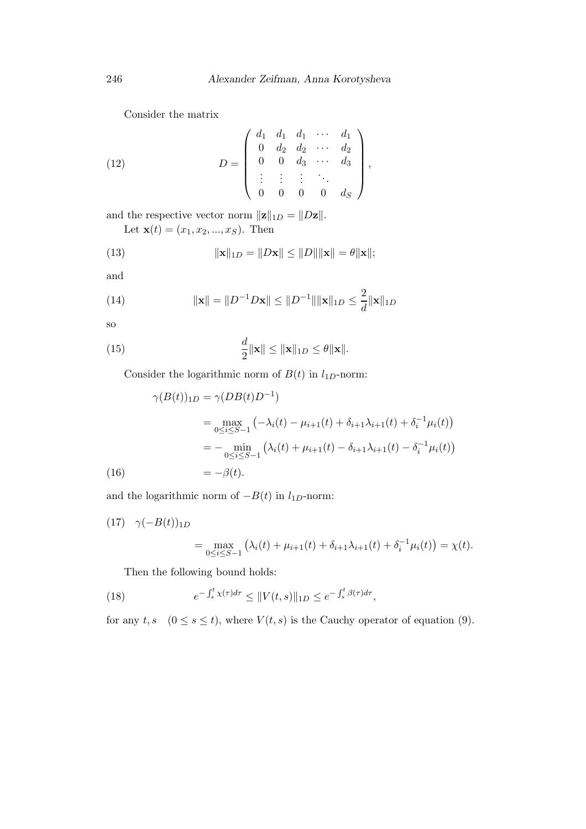Consider the matrix

(12) 
$$
D = \begin{pmatrix} d_1 & d_1 & d_1 & \cdots & d_1 \\ 0 & d_2 & d_2 & \cdots & d_2 \\ 0 & 0 & d_3 & \cdots & d_3 \\ \vdots & \vdots & \vdots & \ddots & \vdots \\ 0 & 0 & 0 & 0 & d_S \end{pmatrix},
$$

and the respective vector norm  $||\mathbf{z}||_{1D} = ||D\mathbf{z}||.$ Let  $\mathbf{x}(t) = (x_1, x_2, ..., x_S)$ . Then

(13) 
$$
\|\mathbf{x}\|_{1D} = \|D\mathbf{x}\| \le \|D\| \|\mathbf{x}\| = \theta \|\mathbf{x}\|;
$$

and

(14) 
$$
\|\mathbf{x}\| = \|D^{-1}D\mathbf{x}\| \le \|D^{-1}\|\|\mathbf{x}\|_{1D} \le \frac{2}{d}\|\mathbf{x}\|_{1D}
$$

so

(15) 
$$
\frac{d}{2} \|\mathbf{x}\| \le \|\mathbf{x}\|_{1D} \le \theta \|\mathbf{x}\|.
$$

Consider the logarithmic norm of  $B(t)$  in  $l_{1D}$ -norm:

$$
\gamma(B(t))_{1D} = \gamma(DB(t)D^{-1})
$$
  
= 
$$
\max_{0 \le i \le S-1} (-\lambda_i(t) - \mu_{i+1}(t) + \delta_{i+1}\lambda_{i+1}(t) + \delta_i^{-1}\mu_i(t))
$$
  
= 
$$
-\min_{0 \le i \le S-1} (\lambda_i(t) + \mu_{i+1}(t) - \delta_{i+1}\lambda_{i+1}(t) - \delta_i^{-1}\mu_i(t))
$$
  
= 
$$
-\beta(t).
$$

and the logarithmic norm of  $-B(t)$  in  $l_{1D}\text{-norm:}$ 

(17)  $\gamma(-B(t))_{1D}$ 

$$
= \max_{0 \le i \le S-1} \left( \lambda_i(t) + \mu_{i+1}(t) + \delta_{i+1} \lambda_{i+1}(t) + \delta_i^{-1} \mu_i(t) \right) = \chi(t).
$$

Then the following bound holds:

(18) 
$$
e^{-\int_s^t \chi(\tau)d\tau} \leq \|V(t,s)\|_{1D} \leq e^{-\int_s^t \beta(\tau)d\tau},
$$

for any  $t, s \quad (0 \le s \le t)$ , where  $V(t, s)$  is the Cauchy operator of equation (9).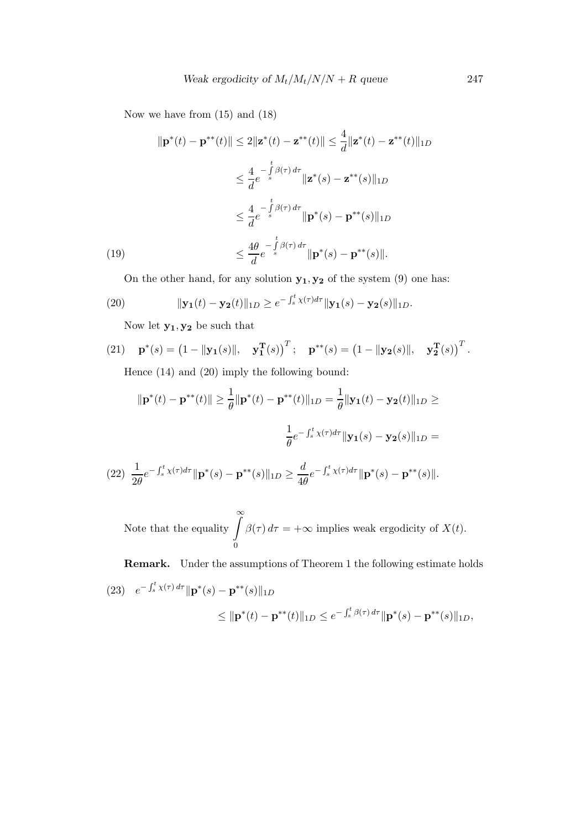Now we have from (15) and (18)

$$
\|\mathbf{p}^*(t) - \mathbf{p}^{**}(t)\| \le 2\|\mathbf{z}^*(t) - \mathbf{z}^{**}(t)\| \le \frac{4}{d}\|\mathbf{z}^*(t) - \mathbf{z}^{**}(t)\|_{1D}
$$
  

$$
\le \frac{4}{d}e^{-\int_{s}^{t} \beta(\tau) d\tau} \|\mathbf{z}^*(s) - \mathbf{z}^{**}(s)\|_{1D}
$$
  

$$
\le \frac{4}{d}e^{-\int_{s}^{t} \beta(\tau) d\tau} \|\mathbf{p}^*(s) - \mathbf{p}^{**}(s)\|_{1D}
$$
  
(19)  

$$
\le \frac{4\theta}{d}e^{-\int_{s}^{t} \beta(\tau) d\tau} \|\mathbf{p}^*(s) - \mathbf{p}^{**}(s)\|.
$$

On the other hand, for any solution  $\mathbf{y_1}, \mathbf{y_2}$  of the system (9) one has:

(20) 
$$
\|\mathbf{y_1}(t) - \mathbf{y_2}(t)\|_{1D} \geq e^{-\int_s^t \chi(\tau) d\tau} \|\mathbf{y_1}(s) - \mathbf{y_2}(s)\|_{1D}.
$$

Now let  $\mathbf{y_1}, \mathbf{y_2}$  be such that

(21) 
$$
\mathbf{p}^*(s) = (1 - ||\mathbf{y}_1(s)||, \mathbf{y}_1^T(s))^T
$$
;  $\mathbf{p}^{**}(s) = (1 - ||\mathbf{y}_2(s)||, \mathbf{y}_2^T(s))^T$ .  
Hence (14) and (20) imply the following bound:

$$
\|\mathbf{p}^*(t) - \mathbf{p}^{**}(t)\| \ge \frac{1}{\theta} \|\mathbf{p}^*(t) - \mathbf{p}^{**}(t)\|_{1D} = \frac{1}{\theta} \|\mathbf{y}_1(t) - \mathbf{y}_2(t)\|_{1D} \ge
$$

$$
\frac{1}{\theta} e^{-\int_s^t \chi(\tau) d\tau} \|\mathbf{y}_1(s) - \mathbf{y}_2(s)\|_{1D} =
$$

$$
(22) \frac{1}{2\theta} e^{-\int_s^t \chi(\tau) d\tau} \|\mathbf{p}^*(s) - \mathbf{p}^{**}(s)\|_{1D} \ge \frac{d}{4\theta} e^{-\int_s^t \chi(\tau) d\tau} \|\mathbf{p}^*(s) - \mathbf{p}^{**}(s)\|.
$$

Note that the equality  $\int_{0}^{\infty}$ 0  $\beta(\tau) d\tau = +\infty$  implies weak ergodicity of  $X(t)$ .

Remark. Under the assumptions of Theorem 1 the following estimate holds

(23) 
$$
e^{-\int_s^t \chi(\tau) d\tau} ||\mathbf{p}^*(s) - \mathbf{p}^{**}(s)||_{1D}
$$
  
\n $\leq ||\mathbf{p}^*(t) - \mathbf{p}^{**}(t)||_{1D} \leq e^{-\int_s^t \beta(\tau) d\tau} ||\mathbf{p}^*(s) - \mathbf{p}^{**}(s)||_{1D},$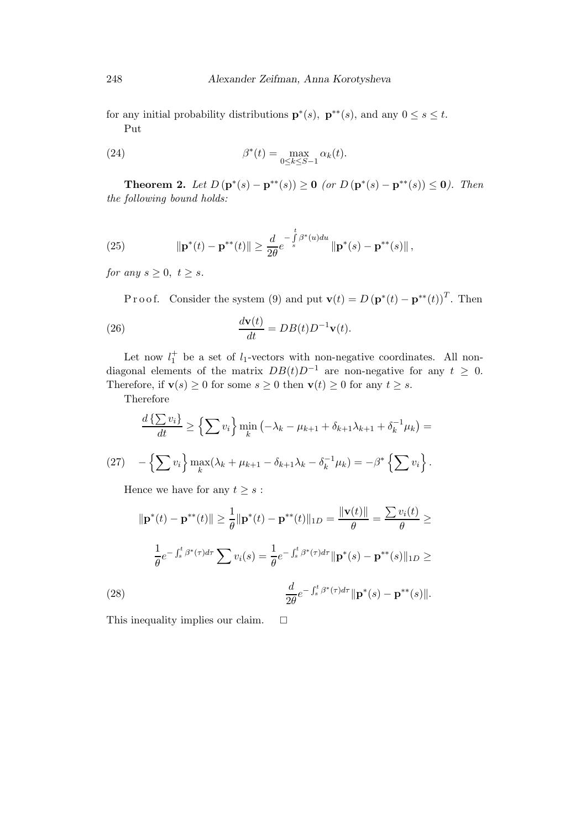for any initial probability distributions  $\mathbf{p}^*(s)$ ,  $\mathbf{p}^{**}(s)$ , and any  $0 \leq s \leq t$ . Put

(24) 
$$
\beta^*(t) = \max_{0 \le k \le S-1} \alpha_k(t).
$$

**Theorem 2.** Let  $D(p^*(s) - p^{**}(s)) \ge 0$  (or  $D(p^*(s) - p^{**}(s)) \le 0$ ). Then the following bound holds:

(25) 
$$
\|\mathbf{p}^*(t) - \mathbf{p}^{**}(t)\| \geq \frac{d}{2\theta} e^{-\int_s^t \beta^*(u) du} \|\mathbf{p}^*(s) - \mathbf{p}^{**}(s)\|,
$$

for any  $s \geq 0, t \geq s$ .

P r o o f. Consider the system (9) and put  $\mathbf{v}(t) = D(\mathbf{p}^*(t) - \mathbf{p}^{**}(t))^T$ . Then (26)  $\frac{d\mathbf{v}(t)}{dt} = DB(t)D^{-1}\mathbf{v}(t).$ 

Let now  $l_1^+$  be a set of  $l_1$ -vectors with non-negative coordinates. All nondiagonal elements of the matrix  $DB(t)D^{-1}$  are non-negative for any  $t \geq 0$ . Therefore, if  $\mathbf{v}(s) \geq 0$  for some  $s \geq 0$  then  $\mathbf{v}(t) \geq 0$  for any  $t \geq s$ .

Therefore

$$
\frac{d\left\{\sum v_i\right\}}{dt} \ge \left\{\sum v_i\right\} \min_k \left(-\lambda_k - \mu_{k+1} + \delta_{k+1}\lambda_{k+1} + \delta_k^{-1}\mu_k\right) =
$$
\n
$$
(27) \quad -\left\{\sum v_i\right\} \max_k (\lambda_k + \mu_{k+1} - \delta_{k+1}\lambda_k - \delta_k^{-1}\mu_k) = -\beta^* \left\{\sum v_i\right\}.
$$

Hence we have for any  $t \geq s$ :

$$
\|\mathbf{p}^*(t) - \mathbf{p}^{**}(t)\| \ge \frac{1}{\theta} \|\mathbf{p}^*(t) - \mathbf{p}^{**}(t)\|_{1D} = \frac{\|\mathbf{v}(t)\|}{\theta} = \frac{\sum v_i(t)}{\theta} \ge
$$

$$
\frac{1}{\theta} e^{-\int_s^t \beta^*(\tau) d\tau} \sum v_i(s) = \frac{1}{\theta} e^{-\int_s^t \beta^*(\tau) d\tau} \|\mathbf{p}^*(s) - \mathbf{p}^{**}(s)\|_{1D} \ge
$$

$$
\frac{d}{2\theta} e^{-\int_s^t \beta^*(\tau) d\tau} \|\mathbf{p}^*(s) - \mathbf{p}^{**}(s)\|.
$$

This inequality implies our claim.  $\square$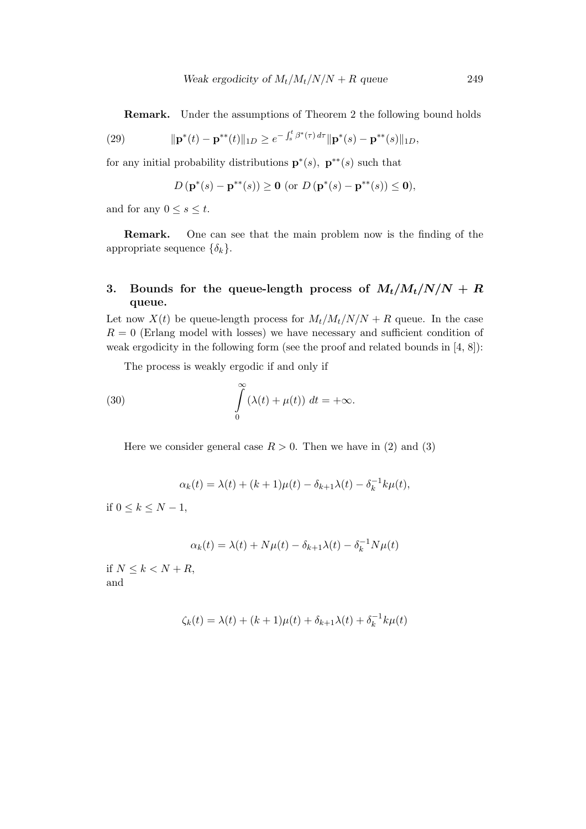Remark. Under the assumptions of Theorem 2 the following bound holds

(29) 
$$
\|\mathbf{p}^*(t)-\mathbf{p}^{**}(t)\|_{1D} \geq e^{-\int_s^t \beta^*(\tau) d\tau} \|\mathbf{p}^*(s)-\mathbf{p}^{**}(s)\|_{1D},
$$

for any initial probability distributions  $\mathbf{p}^*(s)$ ,  $\mathbf{p}^{**}(s)$  such that

$$
D(\mathbf{p}^*(s) - \mathbf{p}^{**}(s)) \ge 0 \text{ (or } D(\mathbf{p}^*(s) - \mathbf{p}^{**}(s)) \le 0),
$$

and for any  $0 \leq s \leq t$ .

Remark. One can see that the main problem now is the finding of the appropriate sequence  $\{\delta_k\}.$ 

# 3. Bounds for the queue-length process of  $M_t/M_t/N/N + R$ queue.

Let now  $X(t)$  be queue-length process for  $M_t/M_t/N/N + R$  queue. In the case  $R = 0$  (Erlang model with losses) we have necessary and sufficient condition of weak ergodicity in the following form (see the proof and related bounds in [4, 8]):

The process is weakly ergodic if and only if

(30) 
$$
\int_{0}^{\infty} (\lambda(t) + \mu(t)) dt = +\infty.
$$

Here we consider general case  $R > 0$ . Then we have in (2) and (3)

$$
\alpha_k(t) = \lambda(t) + (k+1)\mu(t) - \delta_{k+1}\lambda(t) - \delta_k^{-1}k\mu(t),
$$

if  $0 \le k \le N-1$ ,

$$
\alpha_k(t) = \lambda(t) + N\mu(t) - \delta_{k+1}\lambda(t) - \delta_k^{-1}N\mu(t)
$$

if  $N \leq k < N + R$ , and

$$
\zeta_k(t) = \lambda(t) + (k+1)\mu(t) + \delta_{k+1}\lambda(t) + \delta_k^{-1}k\mu(t)
$$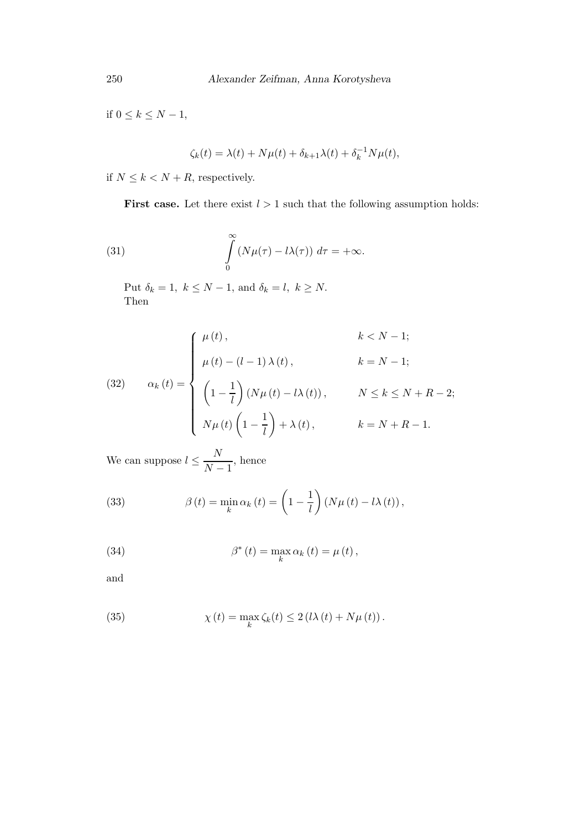if  $0 \leq k \leq N-1$ ,

$$
\zeta_k(t) = \lambda(t) + N\mu(t) + \delta_{k+1}\lambda(t) + \delta_k^{-1}N\mu(t),
$$

if  $N\leq k< N+R,$  respectively.

**First case.** Let there exist  $l > 1$  such that the following assumption holds:

(31) 
$$
\int_{0}^{\infty} (N\mu(\tau) - l\lambda(\tau)) d\tau = +\infty.
$$

Put  $\delta_k = 1, k \le N - 1$ , and  $\delta_k = l, k \ge N$ . Then

(32) 
$$
\alpha_k(t) = \begin{cases} \mu(t), & k < N - 1; \\ \mu(t) - (l - 1) \lambda(t), & k = N - 1; \\ \left(1 - \frac{1}{l}\right) (N\mu(t) - l\lambda(t)), & N \leq k \leq N + R - 2; \\ N\mu(t) \left(1 - \frac{1}{l}\right) + \lambda(t), & k = N + R - 1. \end{cases}
$$

We can suppose  $l \leq \frac{N}{N}$  $\frac{1}{N-1}$ , hence

(33) 
$$
\beta(t) = \min_{k} \alpha_k(t) = \left(1 - \frac{1}{l}\right) \left(N\mu(t) - l\lambda(t)\right),
$$

(34) 
$$
\beta^*(t) = \max_{k} \alpha_k(t) = \mu(t),
$$

and

(35) 
$$
\chi(t) = \max_{k} \zeta_{k}(t) \leq 2 (l\lambda(t) + N\mu(t)).
$$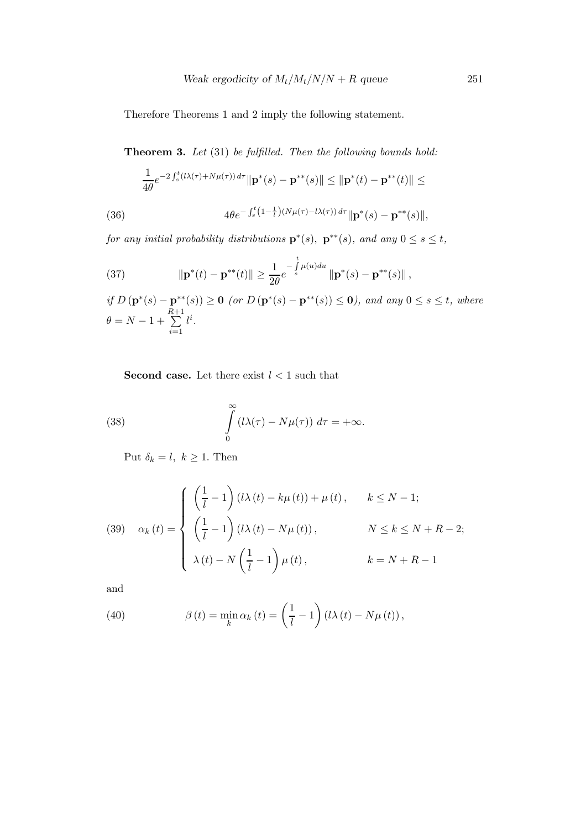Therefore Theorems 1 and 2 imply the following statement.

Theorem 3. Let (31) be fulfilled. Then the following bounds hold:

$$
\frac{1}{4\theta}e^{-2\int_s^t (l\lambda(\tau)+N\mu(\tau)) d\tau} \|\mathbf{p}^*(s)-\mathbf{p}^{**}(s)\| \le \|\mathbf{p}^*(t)-\mathbf{p}^{**}(t)\| \le
$$

(36) 
$$
4\theta e^{-\int_s^t (1-\frac{1}{l})(N\mu(\tau)-l\lambda(\tau)) d\tau} ||\mathbf{p}^*(s)-\mathbf{p}^{**}(s)||,
$$

for any initial probability distributions  $\mathbf{p}^*(s)$ ,  $\mathbf{p}^{**}(s)$ , and any  $0 \leq s \leq t$ ,

(37) 
$$
\|\mathbf{p}^*(t) - \mathbf{p}^{**}(t)\| \geq \frac{1}{2\theta} e^{-\int_s^t \mu(u) du} \|\mathbf{p}^*(s) - \mathbf{p}^{**}(s)\|,
$$

if  $D(p^*(s) - p^{**}(s)) \ge 0$  (or  $D(p^*(s) - p^{**}(s)) \le 0$ ), and any  $0 \le s \le t$ , where  $\theta = N - 1 +$ R  $\sum^{2+1}$  $i=1$  $l^i.$ 

**Second case.** Let there exist  $l < 1$  such that

(38) 
$$
\int_{0}^{\infty} (l\lambda(\tau) - N\mu(\tau)) d\tau = +\infty.
$$

Put  $\delta_k = l, k \geq 1$ . Then

(39) 
$$
\alpha_k(t) = \begin{cases} \left(\frac{1}{l} - 1\right) (l\lambda(t) - k\mu(t)) + \mu(t), & k \le N - 1; \\ \left(\frac{1}{l} - 1\right) (l\lambda(t) - N\mu(t)), & N \le k \le N + R - 2; \\ \lambda(t) - N\left(\frac{1}{l} - 1\right)\mu(t), & k = N + R - 1 \end{cases}
$$

and

(40) 
$$
\beta(t) = \min_{k} \alpha_k(t) = \left(\frac{1}{l} - 1\right) \left(l\lambda(t) - N\mu(t)\right),
$$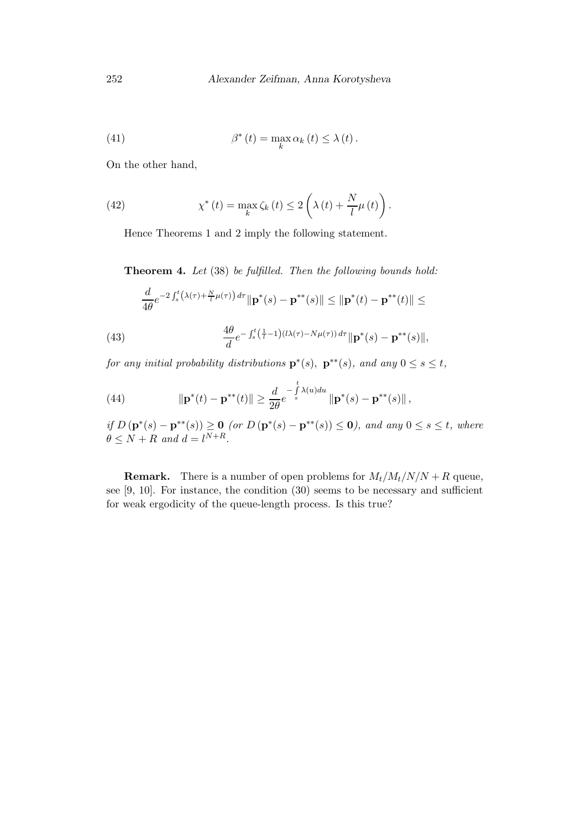.

(41) 
$$
\beta^*(t) = \max_k \alpha_k(t) \leq \lambda(t).
$$

On the other hand,

(42) 
$$
\chi^*(t) = \max_{k} \zeta_k(t) \le 2\left(\lambda(t) + \frac{N}{l}\mu(t)\right)
$$

Hence Theorems 1 and 2 imply the following statement.

Theorem 4. Let (38) be fulfilled. Then the following bounds hold:

$$
\frac{d}{4\theta}e^{-2\int_s^t (\lambda(\tau)+\frac{N}{t}\mu(\tau)) d\tau} \|\mathbf{p}^*(s)-\mathbf{p}^{**}(s)\| \le \|\mathbf{p}^*(t)-\mathbf{p}^{**}(t)\| \le
$$

(43) 
$$
\frac{4\theta}{d}e^{-\int_{s}^{t}(\frac{1}{t}-1)(l\lambda(\tau)-N\mu(\tau)) d\tau}\|\mathbf{p}^{*}(s)-\mathbf{p}^{**}(s)\|,
$$

for any initial probability distributions  $\mathbf{p}^*(s)$ ,  $\mathbf{p}^{**}(s)$ , and any  $0 \leq s \leq t$ ,

(44) 
$$
\|\mathbf{p}^*(t) - \mathbf{p}^{**}(t)\| \geq \frac{d}{2\theta} e^{-\int_s^t \lambda(u) du} \|\mathbf{p}^*(s) - \mathbf{p}^{**}(s)\|,
$$

if  $D(p^*(s) - p^{**}(s)) \ge 0$  (or  $D(p^*(s) - p^{**}(s)) \le 0$ ), and any  $0 \le s \le t$ , where  $\theta \leq N + R$  and  $d = l^{N+R}$ .

**Remark.** There is a number of open problems for  $M_t/M_t/N/N + R$  queue, see [9, 10]. For instance, the condition (30) seems to be necessary and sufficient for weak ergodicity of the queue-length process. Is this true?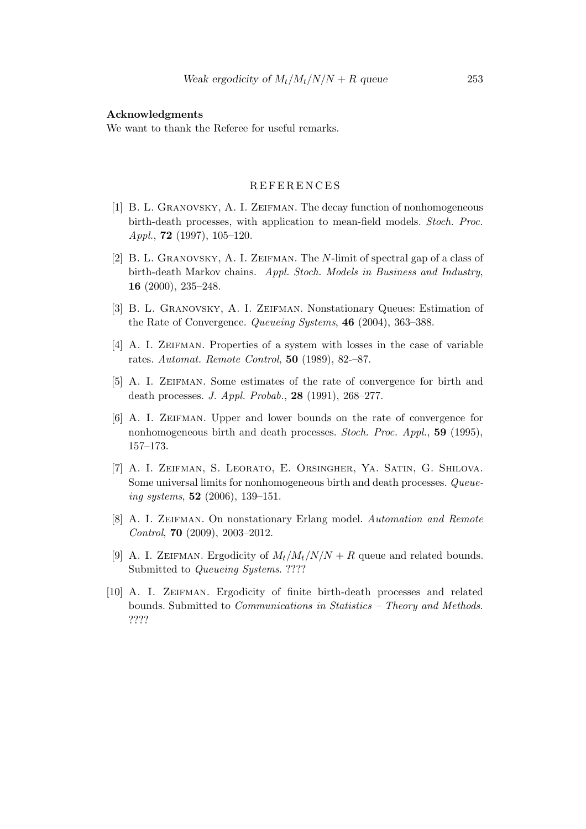#### Acknowledgments

We want to thank the Referee for useful remarks.

### R E F E R E N C E S

- [1] B. L. Granovsky, A. I. Zeifman. The decay function of nonhomogeneous birth-death processes, with application to mean-field models. Stoch. Proc. Appl.,  $72$  (1997), 105-120.
- [2] B. L. Granovsky, A. I. Zeifman. The N-limit of spectral gap of a class of birth-death Markov chains. Appl. Stoch. Models in Business and Industry, 16 (2000), 235–248.
- [3] B. L. Granovsky, A. I. Zeifman. Nonstationary Queues: Estimation of the Rate of Convergence. Queueing Systems, 46 (2004), 363–388.
- [4] A. I. Zeifman. Properties of a system with losses in the case of variable rates. Automat. Remote Control, 50 (1989), 82-–87.
- [5] A. I. ZEIFMAN. Some estimates of the rate of convergence for birth and death processes. J. Appl. Probab., 28 (1991), 268–277.
- [6] A. I. Zeifman. Upper and lower bounds on the rate of convergence for nonhomogeneous birth and death processes. Stoch. Proc. Appl., 59 (1995), 157–173.
- [7] A. I. Zeifman, S. Leorato, E. Orsingher, Ya. Satin, G. Shilova. Some universal limits for nonhomogeneous birth and death processes. Queueing systems,  $52$  (2006), 139–151.
- [8] A. I. Zeifman. On nonstationary Erlang model. Automation and Remote Control, 70 (2009), 2003–2012.
- [9] A. I. ZEIFMAN. Ergodicity of  $M_t/M_t/N/N + R$  queue and related bounds. Submitted to *Queueing Systems.* ????
- [10] A. I. ZEIFMAN. Ergodicity of finite birth-death processes and related bounds. Submitted to Communications in Statistics – Theory and Methods. ????